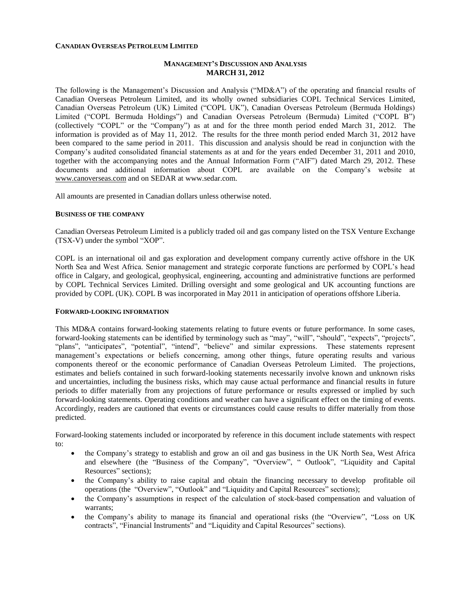#### **CANADIAN OVERSEAS PETROLEUM LIMITED**

## **MANAGEMENT'S DISCUSSION AND ANALYSIS MARCH 31, 2012**

The following is the Management's Discussion and Analysis ("MD&A") of the operating and financial results of Canadian Overseas Petroleum Limited, and its wholly owned subsidiaries COPL Technical Services Limited, Canadian Overseas Petroleum (UK) Limited ("COPL UK"), Canadian Overseas Petroleum (Bermuda Holdings) Limited ("COPL Bermuda Holdings") and Canadian Overseas Petroleum (Bermuda) Limited ("COPL B") (collectively "COPL" or the "Company") as at and for the three month period ended March 31, 2012. The information is provided as of May 11, 2012. The results for the three month period ended March 31, 2012 have been compared to the same period in 2011. This discussion and analysis should be read in conjunction with the Company's audited consolidated financial statements as at and for the years ended December 31, 2011 and 2010, together with the accompanying notes and the Annual Information Form ("AIF") dated March 29, 2012. These documents and additional information about COPL are available on the Company's website at [www.canoverseas.com](http://www.canoverseas.com/) and on SEDAR at [www.sedar.com.](http://www.sedar.com/)

All amounts are presented in Canadian dollars unless otherwise noted.

#### **BUSINESS OF THE COMPANY**

Canadian Overseas Petroleum Limited is a publicly traded oil and gas company listed on the TSX Venture Exchange (TSX-V) under the symbol "XOP".

COPL is an international oil and gas exploration and development company currently active offshore in the UK North Sea and West Africa. Senior management and strategic corporate functions are performed by COPL's head office in Calgary, and geological, geophysical, engineering, accounting and administrative functions are performed by COPL Technical Services Limited. Drilling oversight and some geological and UK accounting functions are provided by COPL (UK). COPL B was incorporated in May 2011 in anticipation of operations offshore Liberia.

#### **FORWARD-LOOKING INFORMATION**

This MD&A contains forward-looking statements relating to future events or future performance. In some cases, forward-looking statements can be identified by terminology such as "may", "will", "should", "expects", "projects", "plans", "anticipates", "potential", "intend", "believe" and similar expressions. These statements represent management's expectations or beliefs concerning, among other things, future operating results and various components thereof or the economic performance of Canadian Overseas Petroleum Limited. The projections, estimates and beliefs contained in such forward-looking statements necessarily involve known and unknown risks and uncertainties, including the business risks, which may cause actual performance and financial results in future periods to differ materially from any projections of future performance or results expressed or implied by such forward-looking statements. Operating conditions and weather can have a significant effect on the timing of events. Accordingly, readers are cautioned that events or circumstances could cause results to differ materially from those predicted.

Forward-looking statements included or incorporated by reference in this document include statements with respect to:

- the Company's strategy to establish and grow an oil and gas business in the UK North Sea, West Africa and elsewhere (the "Business of the Company", "Overview", " Outlook", "Liquidity and Capital Resources" sections);
- the Company's ability to raise capital and obtain the financing necessary to develop profitable oil operations (the "Overview", "Outlook" and "Liquidity and Capital Resources" sections);
- the Company's assumptions in respect of the calculation of stock-based compensation and valuation of warrants;
- the Company's ability to manage its financial and operational risks (the "Overview", "Loss on UK contracts", "Financial Instruments" and "Liquidity and Capital Resources" sections).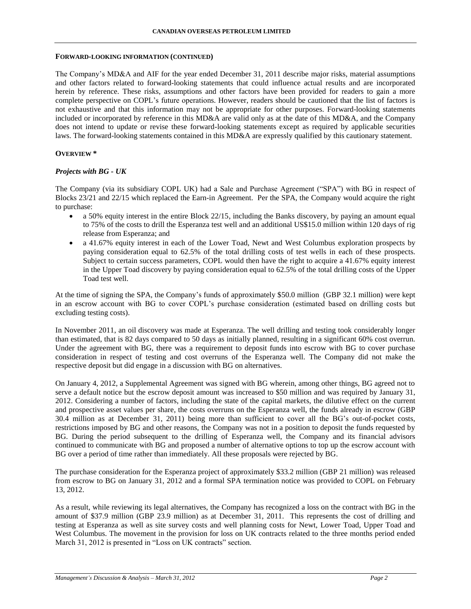#### **FORWARD-LOOKING INFORMATION (CONTINUED)**

The Company's MD&A and AIF for the year ended December 31, 2011 describe major risks, material assumptions and other factors related to forward-looking statements that could influence actual results and are incorporated herein by reference. These risks, assumptions and other factors have been provided for readers to gain a more complete perspective on COPL's future operations. However, readers should be cautioned that the list of factors is not exhaustive and that this information may not be appropriate for other purposes. Forward-looking statements included or incorporated by reference in this MD&A are valid only as at the date of this MD&A, and the Company does not intend to update or revise these forward-looking statements except as required by applicable securities laws. The forward-looking statements contained in this MD&A are expressly qualified by this cautionary statement.

## **OVERVIEW \***

## *Projects with BG - UK*

The Company (via its subsidiary COPL UK) had a Sale and Purchase Agreement ("SPA") with BG in respect of Blocks 23/21 and 22/15 which replaced the Earn-in Agreement. Per the SPA, the Company would acquire the right to purchase:

- a 50% equity interest in the entire Block 22/15, including the Banks discovery, by paying an amount equal to 75% of the costs to drill the Esperanza test well and an additional US\$15.0 million within 120 days of rig release from Esperanza; and
- a 41.67% equity interest in each of the Lower Toad, Newt and West Columbus exploration prospects by paying consideration equal to 62.5% of the total drilling costs of test wells in each of these prospects. Subject to certain success parameters, COPL would then have the right to acquire a 41.67% equity interest in the Upper Toad discovery by paying consideration equal to 62.5% of the total drilling costs of the Upper Toad test well.

At the time of signing the SPA, the Company's funds of approximately \$50.0 million (GBP 32.1 million) were kept in an escrow account with BG to cover COPL's purchase consideration (estimated based on drilling costs but excluding testing costs).

In November 2011, an oil discovery was made at Esperanza. The well drilling and testing took considerably longer than estimated, that is 82 days compared to 50 days as initially planned, resulting in a significant 60% cost overrun. Under the agreement with BG, there was a requirement to deposit funds into escrow with BG to cover purchase consideration in respect of testing and cost overruns of the Esperanza well. The Company did not make the respective deposit but did engage in a discussion with BG on alternatives.

On January 4, 2012, a Supplemental Agreement was signed with BG wherein, among other things, BG agreed not to serve a default notice but the escrow deposit amount was increased to \$50 million and was required by January 31, 2012. Considering a number of factors, including the state of the capital markets, the dilutive effect on the current and prospective asset values per share, the costs overruns on the Esperanza well, the funds already in escrow (GBP 30.4 million as at December 31, 2011) being more than sufficient to cover all the BG's out-of-pocket costs, restrictions imposed by BG and other reasons, the Company was not in a position to deposit the funds requested by BG. During the period subsequent to the drilling of Esperanza well, the Company and its financial advisors continued to communicate with BG and proposed a number of alternative options to top up the escrow account with BG over a period of time rather than immediately. All these proposals were rejected by BG.

The purchase consideration for the Esperanza project of approximately \$33.2 million (GBP 21 million) was released from escrow to BG on January 31, 2012 and a formal SPA termination notice was provided to COPL on February 13, 2012.

As a result, while reviewing its legal alternatives, the Company has recognized a loss on the contract with BG in the amount of \$37.9 million (GBP 23.9 million) as at December 31, 2011. This represents the cost of drilling and testing at Esperanza as well as site survey costs and well planning costs for Newt, Lower Toad, Upper Toad and West Columbus. The movement in the provision for loss on UK contracts related to the three months period ended March 31, 2012 is presented in "Loss on UK contracts" section.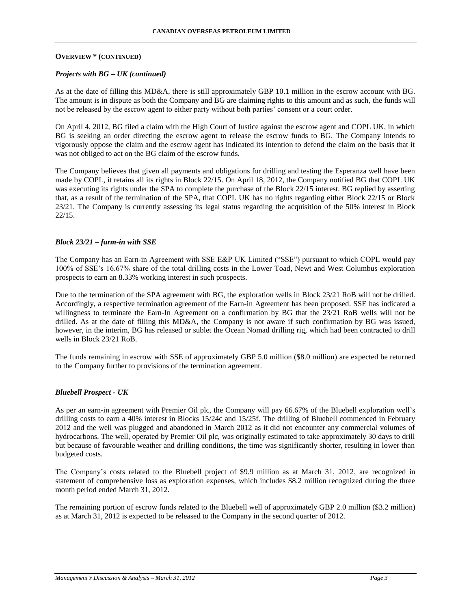#### **OVERVIEW \* (CONTINUED)**

#### *Projects with BG – UK (continued)*

As at the date of filling this MD&A, there is still approximately GBP 10.1 million in the escrow account with BG. The amount is in dispute as both the Company and BG are claiming rights to this amount and as such, the funds will not be released by the escrow agent to either party without both parties' consent or a court order.

On April 4, 2012, BG filed a claim with the High Court of Justice against the escrow agent and COPL UK, in which BG is seeking an order directing the escrow agent to release the escrow funds to BG. The Company intends to vigorously oppose the claim and the escrow agent has indicated its intention to defend the claim on the basis that it was not obliged to act on the BG claim of the escrow funds.

The Company believes that given all payments and obligations for drilling and testing the Esperanza well have been made by COPL, it retains all its rights in Block 22/15. On April 18, 2012, the Company notified BG that COPL UK was executing its rights under the SPA to complete the purchase of the Block 22/15 interest. BG replied by asserting that, as a result of the termination of the SPA, that COPL UK has no rights regarding either Block 22/15 or Block 23/21. The Company is currently assessing its legal status regarding the acquisition of the 50% interest in Block 22/15.

#### *Block 23/21 – farm-in with SSE*

The Company has an Earn-in Agreement with SSE E&P UK Limited ("SSE") pursuant to which COPL would pay 100% of SSE's 16.67% share of the total drilling costs in the Lower Toad, Newt and West Columbus exploration prospects to earn an 8.33% working interest in such prospects.

Due to the termination of the SPA agreement with BG, the exploration wells in Block 23/21 RoB will not be drilled. Accordingly, a respective termination agreement of the Earn-in Agreement has been proposed. SSE has indicated a willingness to terminate the Earn-In Agreement on a confirmation by BG that the 23/21 RoB wells will not be drilled. As at the date of filling this MD&A, the Company is not aware if such confirmation by BG was issued, however, in the interim, BG has released or sublet the Ocean Nomad drilling rig, which had been contracted to drill wells in Block 23/21 RoB.

The funds remaining in escrow with SSE of approximately GBP 5.0 million (\$8.0 million) are expected be returned to the Company further to provisions of the termination agreement.

## *Bluebell Prospect - UK*

As per an earn-in agreement with Premier Oil plc, the Company will pay 66.67% of the Bluebell exploration well's drilling costs to earn a 40% interest in Blocks 15/24c and 15/25f. The drilling of Bluebell commenced in February 2012 and the well was plugged and abandoned in March 2012 as it did not encounter any commercial volumes of hydrocarbons. The well, operated by Premier Oil plc, was originally estimated to take approximately 30 days to drill but because of favourable weather and drilling conditions, the time was significantly shorter, resulting in lower than budgeted costs.

The Company's costs related to the Bluebell project of \$9.9 million as at March 31, 2012, are recognized in statement of comprehensive loss as exploration expenses, which includes \$8.2 million recognized during the three month period ended March 31, 2012.

The remaining portion of escrow funds related to the Bluebell well of approximately GBP 2.0 million (\$3.2 million) as at March 31, 2012 is expected to be released to the Company in the second quarter of 2012.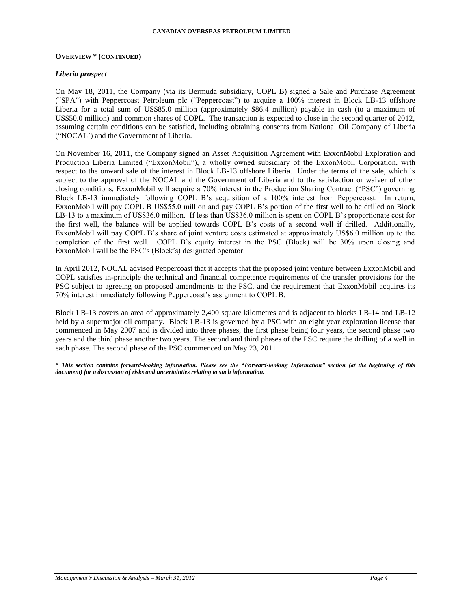#### **OVERVIEW \* (CONTINUED)**

## *Liberia prospect*

On May 18, 2011, the Company (via its Bermuda subsidiary, COPL B) signed a Sale and Purchase Agreement ("SPA") with Peppercoast Petroleum plc ("Peppercoast") to acquire a 100% interest in Block LB-13 offshore Liberia for a total sum of US\$85.0 million (approximately \$86.4 million) payable in cash (to a maximum of US\$50.0 million) and common shares of COPL. The transaction is expected to close in the second quarter of 2012, assuming certain conditions can be satisfied, including obtaining consents from National Oil Company of Liberia ("NOCAL') and the Government of Liberia.

On November 16, 2011, the Company signed an Asset Acquisition Agreement with ExxonMobil Exploration and Production Liberia Limited ("ExxonMobil"), a wholly owned subsidiary of the ExxonMobil Corporation, with respect to the onward sale of the interest in Block LB-13 offshore Liberia. Under the terms of the sale, which is subject to the approval of the NOCAL and the Government of Liberia and to the satisfaction or waiver of other closing conditions, ExxonMobil will acquire a 70% interest in the Production Sharing Contract ("PSC") governing Block LB-13 immediately following COPL B's acquisition of a 100% interest from Peppercoast. In return, ExxonMobil will pay COPL B US\$55.0 million and pay COPL B's portion of the first well to be drilled on Block LB-13 to a maximum of US\$36.0 million. If less than US\$36.0 million is spent on COPL B's proportionate cost for the first well, the balance will be applied towards COPL B's costs of a second well if drilled. Additionally, ExxonMobil will pay COPL B's share of joint venture costs estimated at approximately US\$6.0 million up to the completion of the first well. COPL B's equity interest in the PSC (Block) will be 30% upon closing and ExxonMobil will be the PSC's (Block's) designated operator.

In April 2012, NOCAL advised Peppercoast that it accepts that the proposed joint venture between ExxonMobil and COPL satisfies in-principle the technical and financial competence requirements of the transfer provisions for the PSC subject to agreeing on proposed amendments to the PSC, and the requirement that ExxonMobil acquires its 70% interest immediately following Peppercoast's assignment to COPL B.

Block LB-13 covers an area of approximately 2,400 square kilometres and is adjacent to blocks LB-14 and LB-12 held by a supermajor oil company. Block LB-13 is governed by a PSC with an eight year exploration license that commenced in May 2007 and is divided into three phases, the first phase being four years, the second phase two years and the third phase another two years. The second and third phases of the PSC require the drilling of a well in each phase. The second phase of the PSC commenced on May 23, 2011.

*\* This section contains forward-looking information. Please see the "Forward-looking Information" section (at the beginning of this document) for a discussion of risks and uncertainties relating to such information.*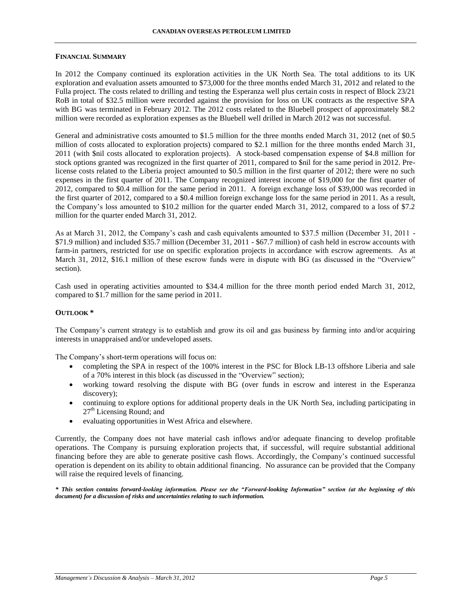#### **FINANCIAL SUMMARY**

In 2012 the Company continued its exploration activities in the UK North Sea. The total additions to its UK exploration and evaluation assets amounted to \$73,000 for the three months ended March 31, 2012 and related to the Fulla project. The costs related to drilling and testing the Esperanza well plus certain costs in respect of Block 23/21 RoB in total of \$32.5 million were recorded against the provision for loss on UK contracts as the respective SPA with BG was terminated in February 2012. The 2012 costs related to the Bluebell prospect of approximately \$8.2 million were recorded as exploration expenses as the Bluebell well drilled in March 2012 was not successful.

General and administrative costs amounted to \$1.5 million for the three months ended March 31, 2012 (net of \$0.5 million of costs allocated to exploration projects) compared to \$2.1 million for the three months ended March 31, 2011 (with \$nil costs allocated to exploration projects). A stock-based compensation expense of \$4.8 million for stock options granted was recognized in the first quarter of 2011, compared to \$nil for the same period in 2012. Prelicense costs related to the Liberia project amounted to \$0.5 million in the first quarter of 2012; there were no such expenses in the first quarter of 2011. The Company recognized interest income of \$19,000 for the first quarter of 2012, compared to \$0.4 million for the same period in 2011. A foreign exchange loss of \$39,000 was recorded in the first quarter of 2012, compared to a \$0.4 million foreign exchange loss for the same period in 2011. As a result, the Company's loss amounted to \$10.2 million for the quarter ended March 31, 2012, compared to a loss of \$7.2 million for the quarter ended March 31, 2012.

As at March 31, 2012, the Company's cash and cash equivalents amounted to \$37.5 million (December 31, 2011 - \$71.9 million) and included \$35.7 million (December 31, 2011 - \$67.7 million) of cash held in escrow accounts with farm-in partners, restricted for use on specific exploration projects in accordance with escrow agreements. As at March 31, 2012, \$16.1 million of these escrow funds were in dispute with BG (as discussed in the "Overview" section).

Cash used in operating activities amounted to \$34.4 million for the three month period ended March 31, 2012, compared to \$1.7 million for the same period in 2011.

## **OUTLOOK \***

The Company's current strategy is to establish and grow its oil and gas business by farming into and/or acquiring interests in unappraised and/or undeveloped assets.

The Company's short-term operations will focus on:

- completing the SPA in respect of the 100% interest in the PSC for Block LB-13 offshore Liberia and sale of a 70% interest in this block (as discussed in the "Overview" section);
- working toward resolving the dispute with BG (over funds in escrow and interest in the Esperanza discovery);
- continuing to explore options for additional property deals in the UK North Sea, including participating in 27<sup>th</sup> Licensing Round; and
- evaluating opportunities in West Africa and elsewhere.

Currently, the Company does not have material cash inflows and/or adequate financing to develop profitable operations. The Company is pursuing exploration projects that, if successful, will require substantial additional financing before they are able to generate positive cash flows. Accordingly, the Company's continued successful operation is dependent on its ability to obtain additional financing. No assurance can be provided that the Company will raise the required levels of financing.

*\* This section contains forward-looking information. Please see the "Forward-looking Information" section (at the beginning of this document) for a discussion of risks and uncertainties relating to such information.*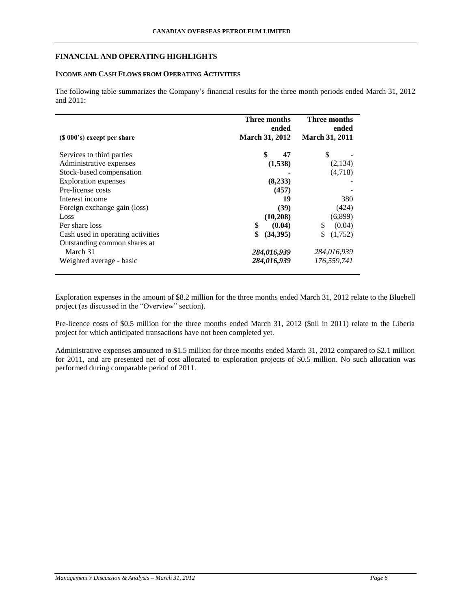### **FINANCIAL AND OPERATING HIGHLIGHTS**

## **INCOME AND CASH FLOWS FROM OPERATING ACTIVITIES**

The following table summarizes the Company's financial results for the three month periods ended March 31, 2012 and 2011:

|                                   | Three months<br>ended | Three months<br>ended |
|-----------------------------------|-----------------------|-----------------------|
| $(S 000's)$ except per share      | <b>March 31, 2012</b> | <b>March 31, 2011</b> |
| Services to third parties         | \$<br>47              | S                     |
| Administrative expenses           | (1,538)               | (2,134)               |
| Stock-based compensation          |                       | (4,718)               |
| <b>Exploration</b> expenses       | (8,233)               |                       |
| Pre-license costs                 | (457)                 |                       |
| Interest income                   | 19                    | 380                   |
| Foreign exchange gain (loss)      | (39)                  | (424)                 |
| Loss                              | (10,208)              | (6,899)               |
| Per share loss                    | \$<br>(0.04)          | (0.04)<br>\$          |
| Cash used in operating activities | \$<br>(34,395)        | (1,752)               |
| Outstanding common shares at      |                       |                       |
| March 31                          | 284,016,939           | 284,016,939           |
| Weighted average - basic          | 284,016,939           | 176,559,741           |

Exploration expenses in the amount of \$8.2 million for the three months ended March 31, 2012 relate to the Bluebell project (as discussed in the "Overview" section).

Pre-licence costs of \$0.5 million for the three months ended March 31, 2012 (\$nil in 2011) relate to the Liberia project for which anticipated transactions have not been completed yet.

Administrative expenses amounted to \$1.5 million for three months ended March 31, 2012 compared to \$2.1 million for 2011, and are presented net of cost allocated to exploration projects of \$0.5 million. No such allocation was performed during comparable period of 2011.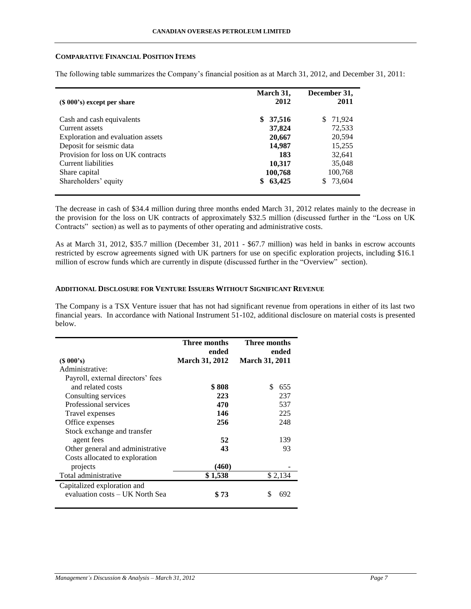#### **COMPARATIVE FINANCIAL POSITION ITEMS**

| $(S 000's)$ except per share       | March 31,<br>2012 | December 31,<br>2011 |
|------------------------------------|-------------------|----------------------|
| Cash and cash equivalents          | 37,516<br>\$      | \$ 71,924            |
| Current assets                     | 37,824            | 72,533               |
| Exploration and evaluation assets  | 20,667            | 20,594               |
| Deposit for seismic data           | 14,987            | 15,255               |
| Provision for loss on UK contracts | 183               | 32,641               |
| Current liabilities                | 10,317            | 35,048               |
| Share capital                      | 100,768           | 100,768              |
| Shareholders' equity               | 63,425<br>\$      | 73,604<br>S          |

The following table summarizes the Company's financial position as at March 31, 2012, and December 31, 2011:

The decrease in cash of \$34.4 million during three months ended March 31, 2012 relates mainly to the decrease in the provision for the loss on UK contracts of approximately \$32.5 million (discussed further in the "Loss on UK Contracts" section) as well as to payments of other operating and administrative costs.

As at March 31, 2012, \$35.7 million (December 31, 2011 - \$67.7 million) was held in banks in escrow accounts restricted by escrow agreements signed with UK partners for use on specific exploration projects, including \$16.1 million of escrow funds which are currently in dispute (discussed further in the "Overview" section).

## **ADDITIONAL DISCLOSURE FOR VENTURE ISSUERS WITHOUT SIGNIFICANT REVENUE**

The Company is a TSX Venture issuer that has not had significant revenue from operations in either of its last two financial years. In accordance with National Instrument 51-102, additional disclosure on material costs is presented below.

|                                   | Three months<br>ended | Three months<br>ended |
|-----------------------------------|-----------------------|-----------------------|
| $(S\ 000's)$                      | <b>March 31, 2012</b> | <b>March 31, 2011</b> |
| Administrative:                   |                       |                       |
| Payroll, external directors' fees |                       |                       |
| and related costs                 | \$808                 | S.<br>655             |
| Consulting services               | 223                   | 237                   |
| Professional services             | 470                   | 537                   |
| Travel expenses                   | 146                   | 225                   |
| Office expenses                   | 256                   | 248                   |
| Stock exchange and transfer       |                       |                       |
| agent fees                        | 52                    | 139                   |
| Other general and administrative  | 43                    | 93                    |
| Costs allocated to exploration    |                       |                       |
| projects                          | (460)                 |                       |
| Total administrative              | \$1,538               | \$2,134               |
| Capitalized exploration and       |                       |                       |
| evaluation costs – UK North Sea   | \$73                  | 692<br>S              |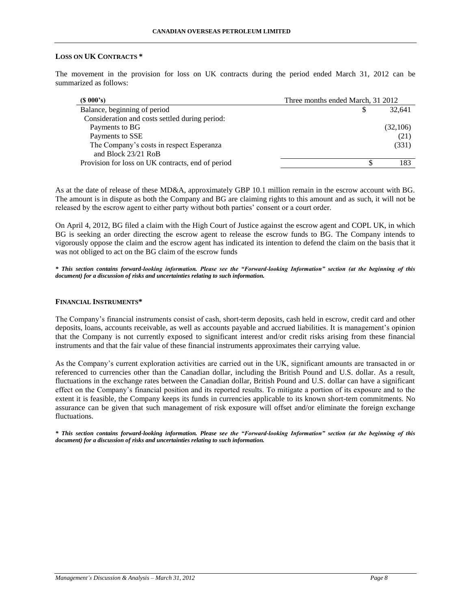#### **LOSS ON UK CONTRACTS \***

The movement in the provision for loss on UK contracts during the period ended March 31, 2012 can be summarized as follows:

| $(S\ 000's)$                                      | Three months ended March, 31 2012 |          |
|---------------------------------------------------|-----------------------------------|----------|
| Balance, beginning of period                      |                                   | 32.641   |
| Consideration and costs settled during period:    |                                   |          |
| Payments to BG                                    |                                   | (32,106) |
| Payments to SSE                                   |                                   | (21)     |
| The Company's costs in respect Esperanza          |                                   | (331)    |
| and Block 23/21 RoB                               |                                   |          |
| Provision for loss on UK contracts, end of period |                                   | 183      |

As at the date of release of these MD&A, approximately GBP 10.1 million remain in the escrow account with BG. The amount is in dispute as both the Company and BG are claiming rights to this amount and as such, it will not be released by the escrow agent to either party without both parties' consent or a court order.

On April 4, 2012, BG filed a claim with the High Court of Justice against the escrow agent and COPL UK, in which BG is seeking an order directing the escrow agent to release the escrow funds to BG. The Company intends to vigorously oppose the claim and the escrow agent has indicated its intention to defend the claim on the basis that it was not obliged to act on the BG claim of the escrow funds

*\* This section contains forward-looking information. Please see the "Forward-looking Information" section (at the beginning of this document) for a discussion of risks and uncertainties relating to such information.*

### **FINANCIAL INSTRUMENTS\***

The Company's financial instruments consist of cash, short-term deposits, cash held in escrow, credit card and other deposits, loans, accounts receivable, as well as accounts payable and accrued liabilities. It is management's opinion that the Company is not currently exposed to significant interest and/or credit risks arising from these financial instruments and that the fair value of these financial instruments approximates their carrying value.

As the Company's current exploration activities are carried out in the UK, significant amounts are transacted in or referenced to currencies other than the Canadian dollar, including the British Pound and U.S. dollar. As a result, fluctuations in the exchange rates between the Canadian dollar, British Pound and U.S. dollar can have a significant effect on the Company's financial position and its reported results. To mitigate a portion of its exposure and to the extent it is feasible, the Company keeps its funds in currencies applicable to its known short-tem commitments. No assurance can be given that such management of risk exposure will offset and/or eliminate the foreign exchange fluctuations.

*\* This section contains forward-looking information. Please see the "Forward-looking Information" section (at the beginning of this document) for a discussion of risks and uncertainties relating to such information.*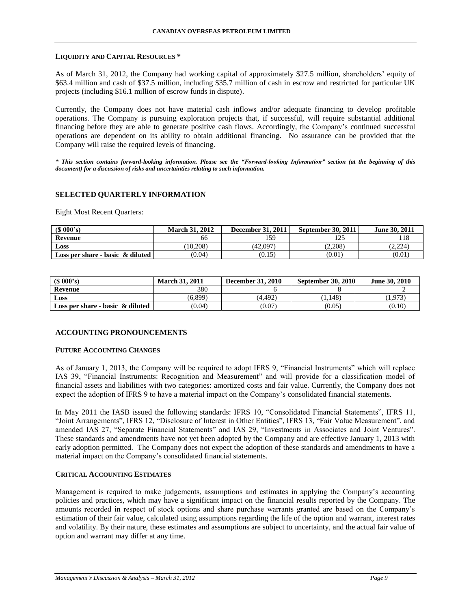#### **LIQUIDITY AND CAPITAL RESOURCES \***

As of March 31, 2012, the Company had working capital of approximately \$27.5 million, shareholders' equity of \$63.4 million and cash of \$37.5 million, including \$35.7 million of cash in escrow and restricted for particular UK projects (including \$16.1 million of escrow funds in dispute).

Currently, the Company does not have material cash inflows and/or adequate financing to develop profitable operations. The Company is pursuing exploration projects that, if successful, will require substantial additional financing before they are able to generate positive cash flows. Accordingly, the Company's continued successful operations are dependent on its ability to obtain additional financing. No assurance can be provided that the Company will raise the required levels of financing.

*\* This section contains forward-looking information. Please see the "Forward-looking Information" section (at the beginning of this document) for a discussion of risks and uncertainties relating to such information.*

# **SELECTED QUARTERLY INFORMATION**

Eight Most Recent Quarters:

| $(S\ 000's)$                        | <b>March 31, 2012</b> | <b>December 31, 2011</b> | September 30, 2011 | June 30, 2011 |
|-------------------------------------|-----------------------|--------------------------|--------------------|---------------|
| Revenue                             | 66                    | 159                      | ⊥∠.                |               |
| <b>Loss</b>                         | (10.208)              | (42.097)                 | (2.208)            | (2.224)       |
| Loss per share - basic $\&$ diluted | (0.04)                | (0.15)                   | (0.01)             | (0.01)        |

| (S 000's)                           | <b>March 31, 2011</b> | <b>December 31, 2010</b> | September 30, 2010 | <b>June 30, 2010</b> |
|-------------------------------------|-----------------------|--------------------------|--------------------|----------------------|
| Revenue                             | 380                   |                          |                    |                      |
| Loss                                | (6.899)               | (4.492)                  | 1.148)             | 1,973                |
| Loss per share - basic $\&$ diluted | (0.04)                | (0.07)                   | (0.05)             | (0.10)               |

#### **ACCOUNTING PRONOUNCEMENTS**

#### **FUTURE ACCOUNTING CHANGES**

As of January 1, 2013, the Company will be required to adopt IFRS 9, "Financial Instruments" which will replace IAS 39, "Financial Instruments: Recognition and Measurement" and will provide for a classification model of financial assets and liabilities with two categories: amortized costs and fair value. Currently, the Company does not expect the adoption of IFRS 9 to have a material impact on the Company's consolidated financial statements.

In May 2011 the IASB issued the following standards: IFRS 10, "Consolidated Financial Statements", IFRS 11, "Joint Arrangements", IFRS 12, "Disclosure of Interest in Other Entities", IFRS 13, "Fair Value Measurement", and amended IAS 27, "Separate Financial Statements" and IAS 29, "Investments in Associates and Joint Ventures". These standards and amendments have not yet been adopted by the Company and are effective January 1, 2013 with early adoption permitted. The Company does not expect the adoption of these standards and amendments to have a material impact on the Company's consolidated financial statements.

#### **CRITICAL ACCOUNTING ESTIMATES**

Management is required to make judgements, assumptions and estimates in applying the Company's accounting policies and practices, which may have a significant impact on the financial results reported by the Company. The amounts recorded in respect of stock options and share purchase warrants granted are based on the Company's estimation of their fair value, calculated using assumptions regarding the life of the option and warrant, interest rates and volatility. By their nature, these estimates and assumptions are subject to uncertainty, and the actual fair value of option and warrant may differ at any time.